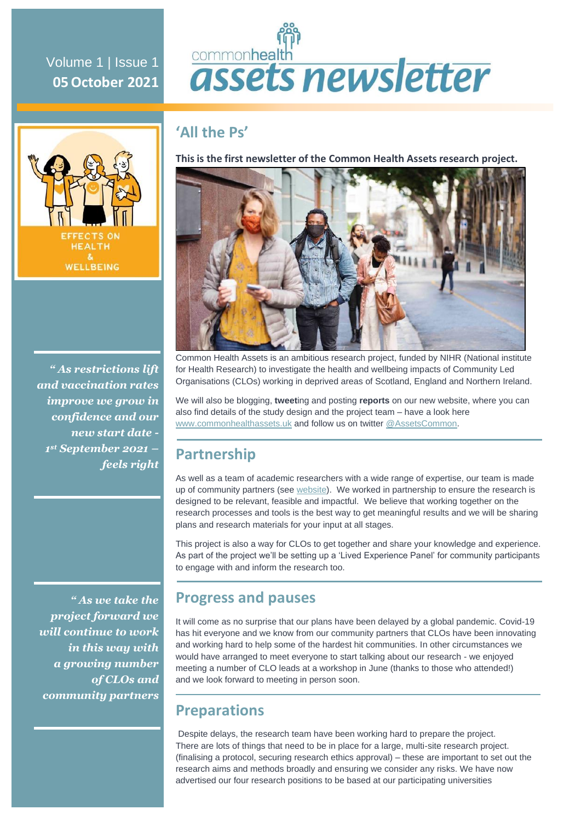# commonhealth assets newsletter

# **'All the Ps'**

**This is the first newsletter of the Common Health Assets research project.**



Common Health Assets is an ambitious research project, funded by NIHR (National institute for Health Research) to investigate the health and wellbeing impacts of Community Led Organisations (CLOs) working in deprived areas of Scotland, England and Northern Ireland.

We will also be blogging, **tweet**ing and posting **reports** on our new website, where you can also find details of the study design and the project team – have a look here [www.commonhealthassets.uk](http://www.commonhealthassets.uk/) and follow us on twitte[r @AssetsCommon.](https://twitter.com/AssetsCommon)

## **Partnership**

As well as a team of academic researchers with a wide range of expertise, our team is made up of community partners (see [website\)](https://www.commonhealthassets.uk/). We worked in partnership to ensure the research is designed to be relevant, feasible and impactful. We believe that working together on the research processes and tools is the best way to get meaningful results and we will be sharing plans and research materials for your input at all stages.

This project is also a way for CLOs to get together and share your knowledge and experience. As part of the project we'll be setting up a 'Lived Experience Panel' for community participants to engage with and inform the research too.

*" As we take the project forward we will continue to work in this way with a growing number of CLOs and community partners*

## **Progress and pauses**

It will come as no surprise that our plans have been delayed by a global pandemic. Covid-19 has hit everyone and we know from our community partners that CLOs have been innovating and working hard to help some of the hardest hit communities. In other circumstances we would have arranged to meet everyone to start talking about our research - we enjoyed meeting a number of CLO leads at a workshop in June (thanks to those who attended!) and we look forward to meeting in person soon.

## **Preparations**

Despite delays, the research team have been working hard to prepare the project. There are lots of things that need to be in place for a large, multi-site research project. (finalising a protocol, securing research ethics approval) – these are important to set out the research aims and methods broadly and ensuring we consider any risks. We have now advertised our four research positions to be based at our participating universities



Volume 1 | Issue 1 **05October 2021**

*" As restrictions lift and vaccination rates improve we grow in confidence and our new start date - 1 st September 2021 – feels right*